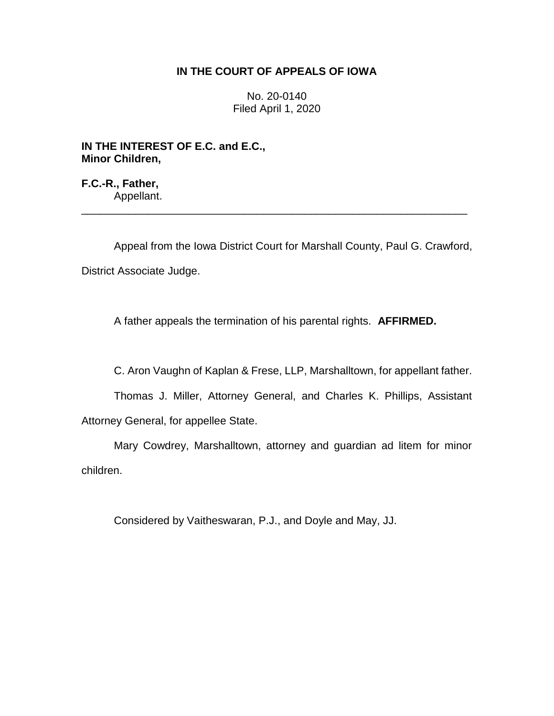## **IN THE COURT OF APPEALS OF IOWA**

No. 20-0140 Filed April 1, 2020

**IN THE INTEREST OF E.C. and E.C., Minor Children,**

**F.C.-R., Father,** Appellant.

Appeal from the Iowa District Court for Marshall County, Paul G. Crawford, District Associate Judge.

\_\_\_\_\_\_\_\_\_\_\_\_\_\_\_\_\_\_\_\_\_\_\_\_\_\_\_\_\_\_\_\_\_\_\_\_\_\_\_\_\_\_\_\_\_\_\_\_\_\_\_\_\_\_\_\_\_\_\_\_\_\_\_\_

A father appeals the termination of his parental rights. **AFFIRMED.**

C. Aron Vaughn of Kaplan & Frese, LLP, Marshalltown, for appellant father.

Thomas J. Miller, Attorney General, and Charles K. Phillips, Assistant Attorney General, for appellee State.

Mary Cowdrey, Marshalltown, attorney and guardian ad litem for minor children.

Considered by Vaitheswaran, P.J., and Doyle and May, JJ.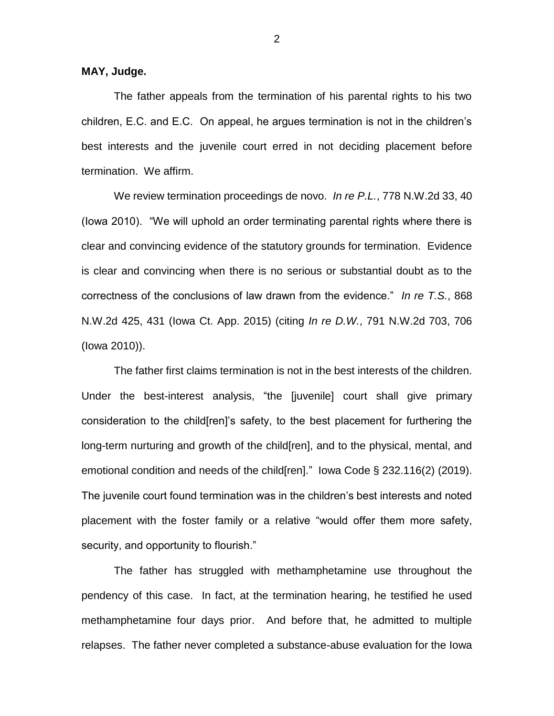**MAY, Judge.**

The father appeals from the termination of his parental rights to his two children, E.C. and E.C. On appeal, he argues termination is not in the children's best interests and the juvenile court erred in not deciding placement before termination. We affirm.

We review termination proceedings de novo. *In re P.L.*, 778 N.W.2d 33, 40 (Iowa 2010). "We will uphold an order terminating parental rights where there is clear and convincing evidence of the statutory grounds for termination. Evidence is clear and convincing when there is no serious or substantial doubt as to the correctness of the conclusions of law drawn from the evidence." *In re T.S.*, 868 N.W.2d 425, 431 (Iowa Ct. App. 2015) (citing *In re D.W.*, 791 N.W.2d 703, 706 (Iowa 2010)).

The father first claims termination is not in the best interests of the children. Under the best-interest analysis, "the [juvenile] court shall give primary consideration to the child[ren]'s safety, to the best placement for furthering the long-term nurturing and growth of the child[ren], and to the physical, mental, and emotional condition and needs of the child[ren]." Iowa Code § 232.116(2) (2019). The juvenile court found termination was in the children's best interests and noted placement with the foster family or a relative "would offer them more safety, security, and opportunity to flourish."

The father has struggled with methamphetamine use throughout the pendency of this case. In fact, at the termination hearing, he testified he used methamphetamine four days prior. And before that, he admitted to multiple relapses. The father never completed a substance-abuse evaluation for the Iowa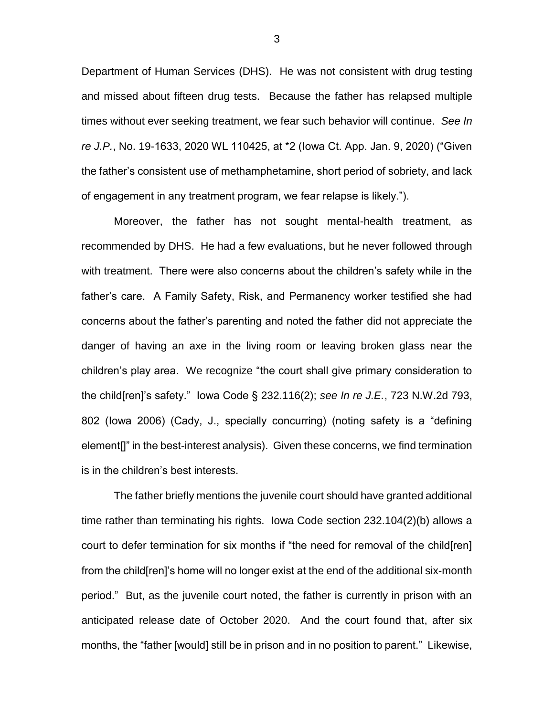Department of Human Services (DHS). He was not consistent with drug testing and missed about fifteen drug tests. Because the father has relapsed multiple times without ever seeking treatment, we fear such behavior will continue. *See In re J.P.*, No. 19-1633, 2020 WL 110425, at \*2 (Iowa Ct. App. Jan. 9, 2020) ("Given the father's consistent use of methamphetamine, short period of sobriety, and lack of engagement in any treatment program, we fear relapse is likely.").

Moreover, the father has not sought mental-health treatment, as recommended by DHS. He had a few evaluations, but he never followed through with treatment. There were also concerns about the children's safety while in the father's care. A Family Safety, Risk, and Permanency worker testified she had concerns about the father's parenting and noted the father did not appreciate the danger of having an axe in the living room or leaving broken glass near the children's play area. We recognize "the court shall give primary consideration to the child[ren]'s safety." Iowa Code § 232.116(2); *see In re J.E.*, 723 N.W.2d 793, 802 (Iowa 2006) (Cady, J., specially concurring) (noting safety is a "defining element[]" in the best-interest analysis). Given these concerns, we find termination is in the children's best interests.

The father briefly mentions the juvenile court should have granted additional time rather than terminating his rights. Iowa Code section 232.104(2)(b) allows a court to defer termination for six months if "the need for removal of the child[ren] from the child[ren]'s home will no longer exist at the end of the additional six-month period." But, as the juvenile court noted, the father is currently in prison with an anticipated release date of October 2020. And the court found that, after six months, the "father [would] still be in prison and in no position to parent." Likewise,

3